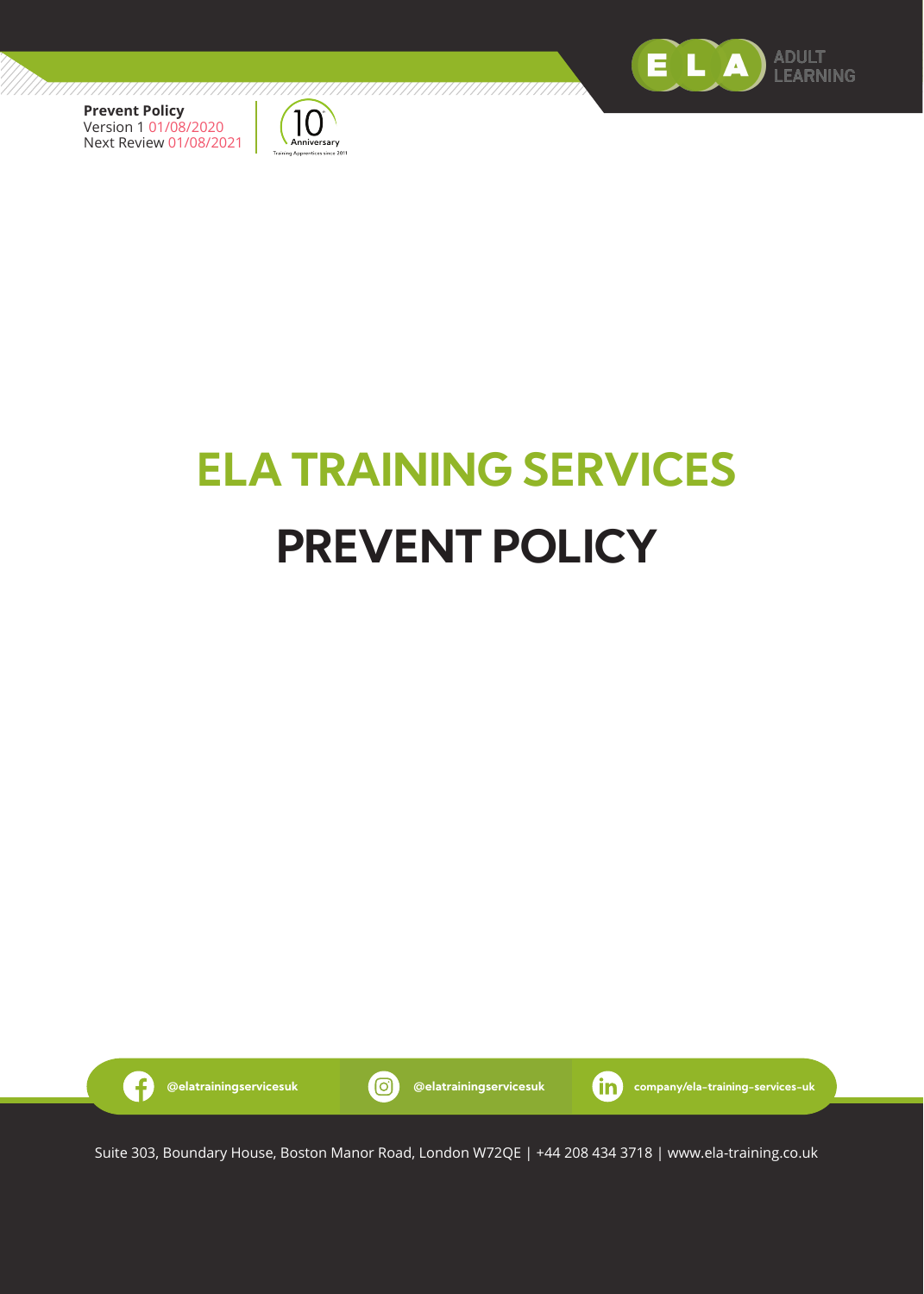



# **ELA TRAINING SERVICES PREVENT POLICY**



Suite 303, Boundary House, Boston Manor Road, London W72QE | +44 208 434 3718 | www.ela-training.co.uk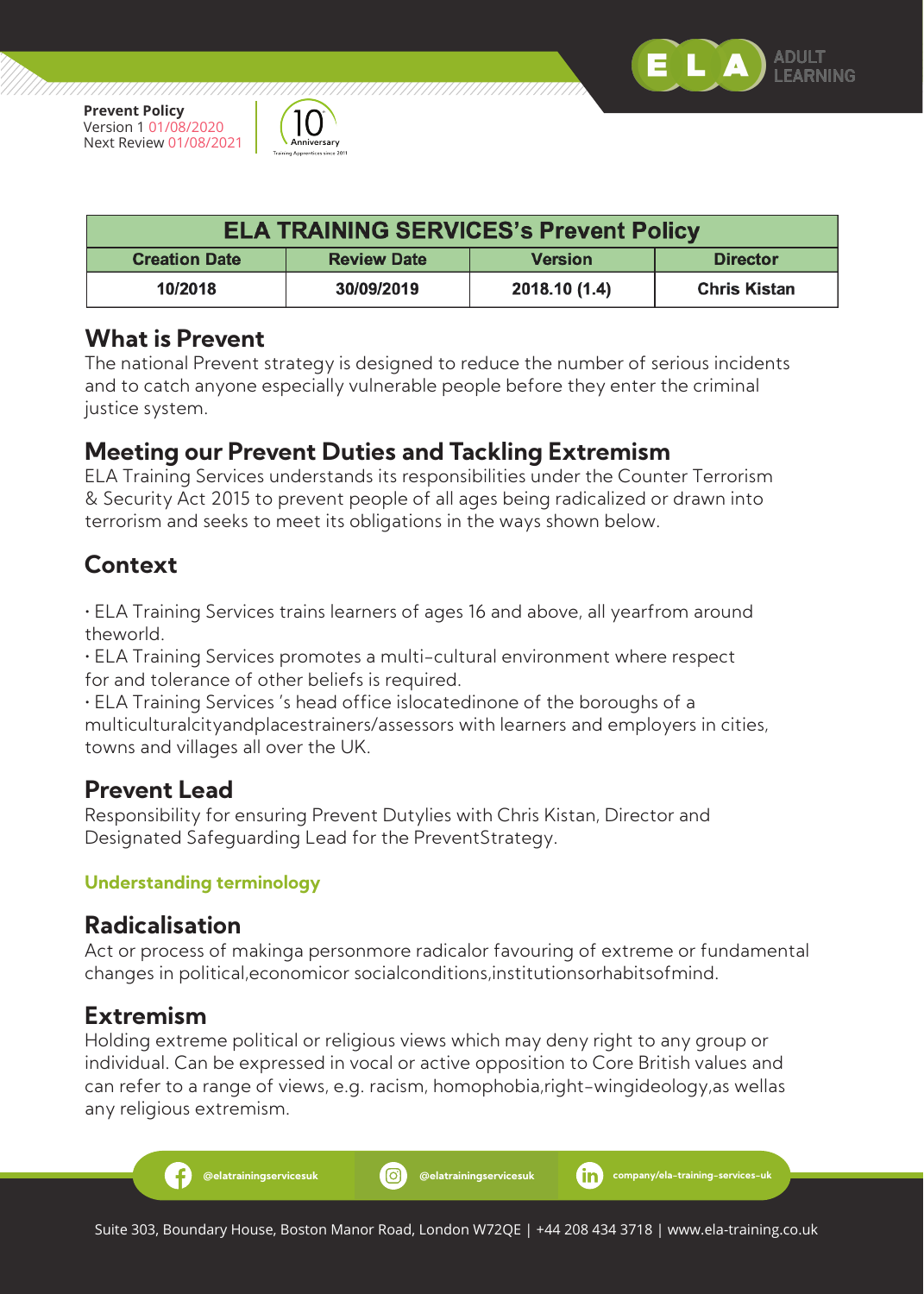,,,,,,,,,,,,,,,,,,,,,,,,,,,,,



7777777777777

| <b>ELA TRAINING SERVICES's Prevent Policy</b> |                    |                |                     |
|-----------------------------------------------|--------------------|----------------|---------------------|
| <b>Creation Date</b>                          | <b>Review Date</b> | <b>Version</b> | <b>Director</b>     |
| 10/2018                                       | 30/09/2019         | 2018.10 (1.4)  | <b>Chris Kistan</b> |

#### **What is Prevent**

The national Prevent strategy is designed to reduce the number of serious incidents and to catch anyone especially vulnerable people before they enter the criminal justice system.

#### **Meeting our Prevent Duties and Tackling Extremism**

ELA Training Services understands its responsibilities under the Counter Terrorism & Security Act 2015 to prevent people of all ages being radicalized or drawn into terrorism and seeks to meet its obligations in the ways shown below.

# **Context**

• ELA Training Services trains learners of ages 16 and above, all yearfrom around theworld.

• ELA Training Services promotes a multi-cultural environment where respect for and tolerance of other beliefs is required.

• ELA Training Services 's head office islocatedinone of the boroughs of a multiculturalcityandplacestrainers/assessors with learners and employers in cities, towns and villages all over the UK.

#### **Prevent Lead**

Responsibility for ensuring Prevent Dutylies with Chris Kistan, Director and Designated Safeguarding Lead for the PreventStrategy.

#### **Understanding terminology**

#### **Radicalisation**

Act or process of makinga personmore radicalor favouring of extreme or fundamental changes in political,economicor socialconditions,institutionsorhabitsofmind.

#### **Extremism**

Æ.

Holding extreme political or religious views which may deny right to any group or individual. Can be expressed in vocal or active opposition to Core British values and can refer to a range of views, e.g. racism, homophobia,right-wingideology,as wellas any religious extremism.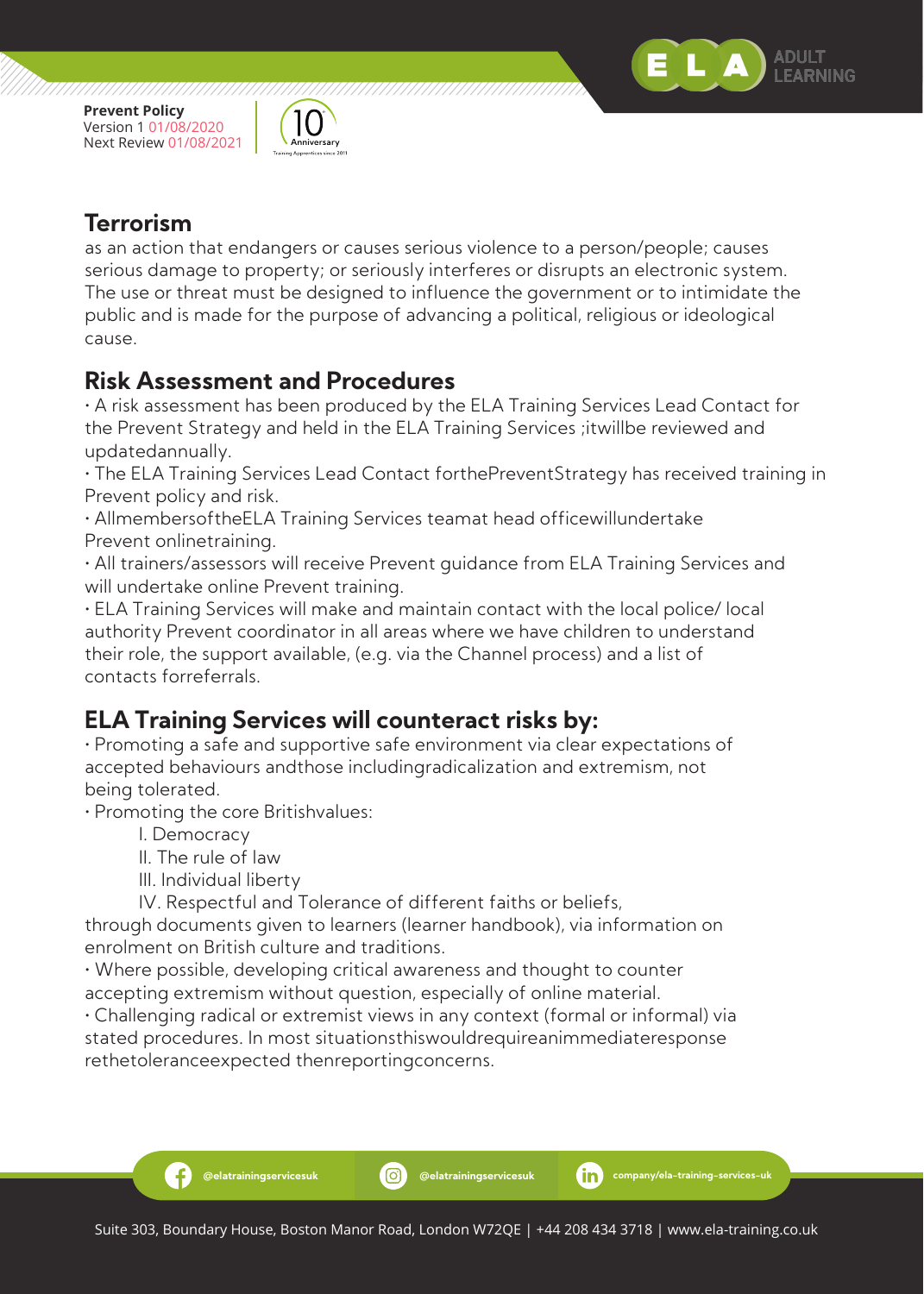

,,,,,,,,,,,,,,,,,,,,,,,,,,,,,



777777777777777777777

#### **Terrorism**

as an action that endangers or causes serious violence to a person/people; causes serious damage to property; or seriously interferes or disrupts an electronic system. The use or threat must be designed to influence the government or to intimidate the public and is made for the purpose of advancing a political, religious or ideological cause.

#### **Risk Assessment and Procedures**

• A risk assessment has been produced by the ELA Training Services Lead Contact for the Prevent Strategy and held in the ELA Training Services ;itwillbe reviewed and updatedannually.

• The ELA Training Services Lead Contact forthePreventStrategy has received training in Prevent policy and risk.

• AllmembersoftheELA Training Services teamat head officewillundertake Prevent onlinetraining.

• All trainers/assessors will receive Prevent guidance from ELA Training Services and will undertake online Prevent training.

• ELA Training Services will make and maintain contact with the local police/ local authority Prevent coordinator in all areas where we have children to understand their role, the support available, (e.g. via the Channel process) and a list of contacts forreferrals.

## **ELA Training Services will counteract risks by:**

• Promoting a safe and supportive safe environment via clear expectations of accepted behaviours andthose includingradicalization and extremism, not being tolerated.

• Promoting the core Britishvalues:

I. Democracy

-6

II. The rule of law

III. Individual liberty

IV. Respectful and Tolerance of different faiths or beliefs,

through documents given to learners (learner handbook), via information on enrolment on British culture and traditions.

• Where possible, developing critical awareness and thought to counter accepting extremism without question, especially of online material.

• Challenging radical or extremist views in any context (formal or informal) via stated procedures. In most situationsthiswouldrequireanimmediateresponse rethetoleranceexpected thenreportingconcerns.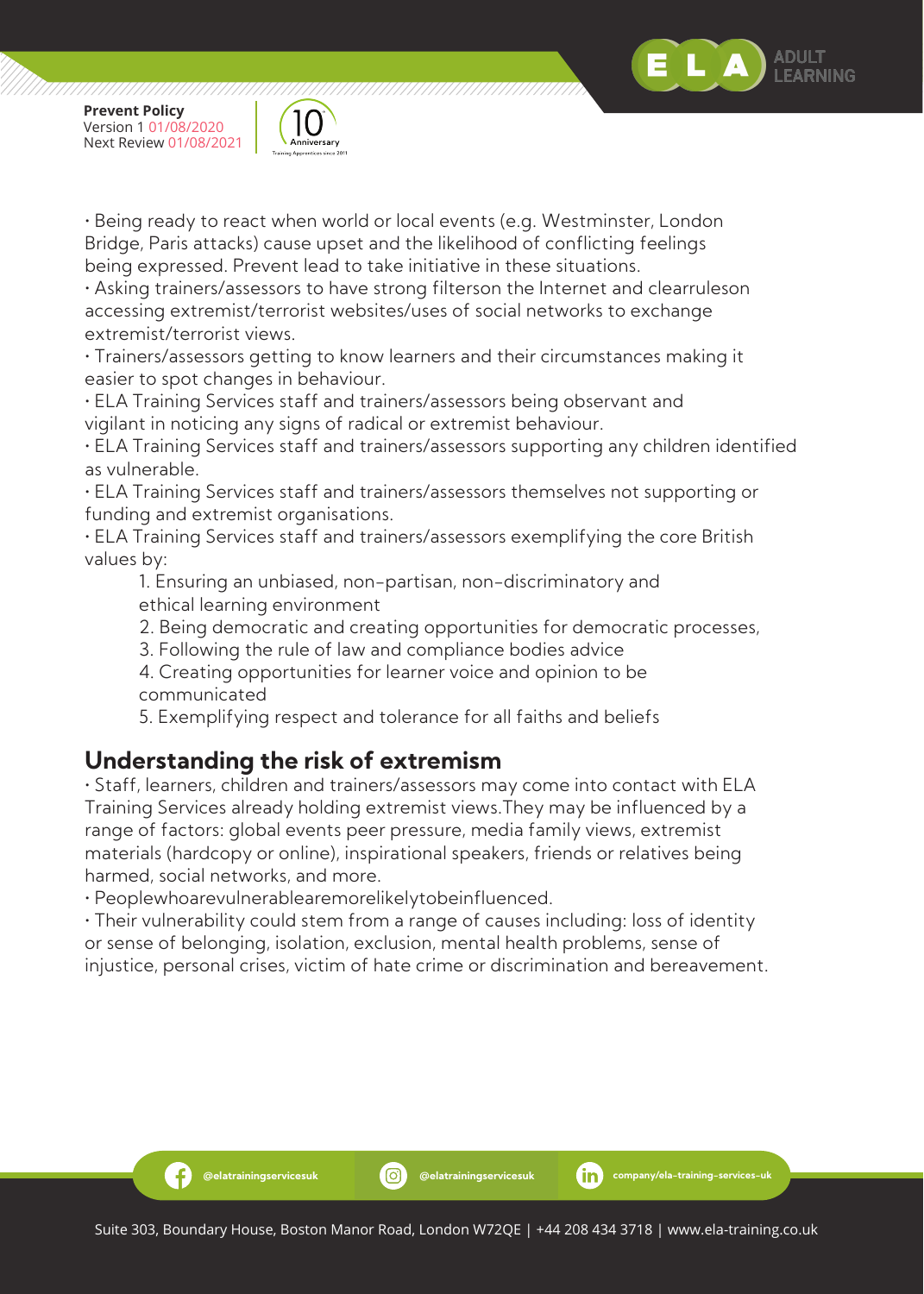



• Being ready to react when world or local events (e.g. Westminster, London Bridge, Paris attacks) cause upset and the likelihood of conflicting feelings being expressed. Prevent lead to take initiative in these situations.

• Asking trainers/assessors to have strong filterson the Internet and clearruleson accessing extremist/terrorist websites/uses of social networks to exchange extremist/terrorist views.

• Trainers/assessors getting to know learners and their circumstances making it easier to spot changes in behaviour.

• ELA Training Services staff and trainers/assessors being observant and vigilant in noticing any signs of radical or extremist behaviour.

• ELA Training Services staff and trainers/assessors supporting any children identified as vulnerable.

• ELA Training Services staff and trainers/assessors themselves not supporting or funding and extremist organisations.

• ELA Training Services staff and trainers/assessors exemplifying the core British values by:

 1. Ensuring an unbiased, non-partisan, non-discriminatory and ethical learning environment

- 2. Being democratic and creating opportunities for democratic processes,
- 3. Following the rule of law and compliance bodies advice

 4. Creating opportunities for learner voice and opinion to be communicated

5. Exemplifying respect and tolerance for all faiths and beliefs

### **Understanding the risk of extremism**

• Staff, learners, children and trainers/assessors may come into contact with ELA Training Services already holding extremist views.They may be influenced by a range of factors: global events peer pressure, media family views, extremist materials (hardcopy or online), inspirational speakers, friends or relatives being harmed, social networks, and more.

• Peoplewhoarevulnerablearemorelikelytobeinfluenced.

Ð

• Their vulnerability could stem from a range of causes including: loss of identity or sense of belonging, isolation, exclusion, mental health problems, sense of injustice, personal crises, victim of hate crime or discrimination and bereavement.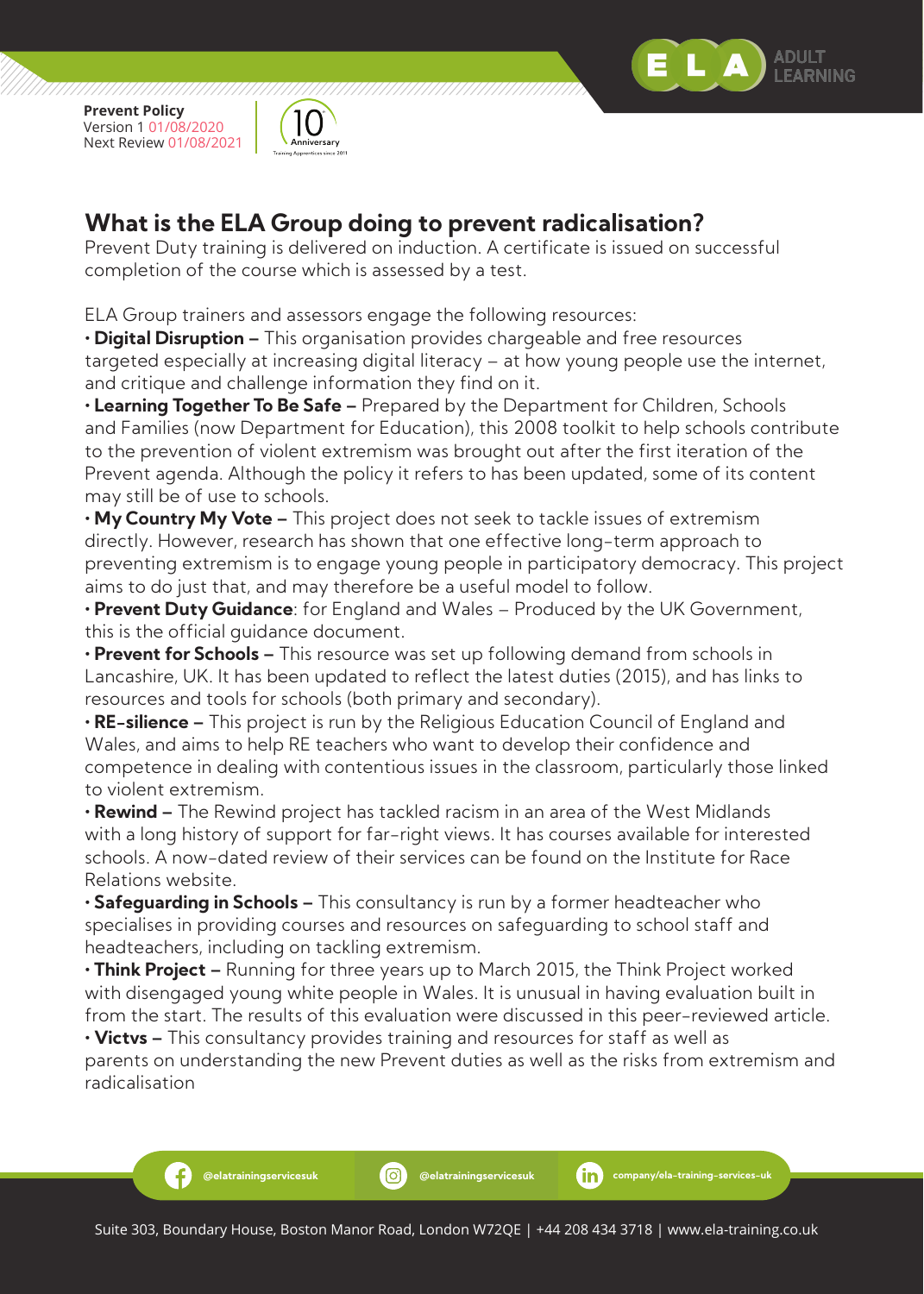

Ð

,,,,,,,,,,,,,,,,,,,,,,,,,,,,,



#### **What is the ELA Group doing to prevent radicalisation?**

Prevent Duty training is delivered on induction. A certificate is issued on successful completion of the course which is assessed by a test.

ELA Group trainers and assessors engage the following resources:

**• Digital Disruption –** This organisation provides chargeable and free resources targeted especially at increasing digital literacy – at how young people use the internet, and critique and challenge information they find on it.

**• Learning Together To Be Safe –** Prepared by the Department for Children, Schools and Families (now Department for Education), this 2008 toolkit to help schools contribute to the prevention of violent extremism was brought out after the first iteration of the Prevent agenda. Although the policy it refers to has been updated, some of its content may still be of use to schools.

**• My Country My Vote –** This project does not seek to tackle issues of extremism directly. However, research has shown that one effective long-term approach to preventing extremism is to engage young people in participatory democracy. This project aims to do just that, and may therefore be a useful model to follow.

**• Prevent Duty Guidance**: for England and Wales – Produced by the UK Government, this is the official guidance document.

**• Prevent for Schools –** This resource was set up following demand from schools in Lancashire, UK. It has been updated to reflect the latest duties (2015), and has links to resources and tools for schools (both primary and secondary).

**• RE-silience –** This project is run by the Religious Education Council of England and Wales, and aims to help RE teachers who want to develop their confidence and competence in dealing with contentious issues in the classroom, particularly those linked to violent extremism.

**• Rewind –** The Rewind project has tackled racism in an area of the West Midlands with a long history of support for far-right views. It has courses available for interested schools. A now-dated review of their services can be found on the Institute for Race Relations website.

**• Safeguarding in Schools –** This consultancy is run by a former headteacher who specialises in providing courses and resources on safeguarding to school staff and headteachers, including on tackling extremism.

**• Think Project –** Running for three years up to March 2015, the Think Project worked with disengaged young white people in Wales. It is unusual in having evaluation built in from the start. The results of this evaluation were discussed in this peer-reviewed article.

**• Victvs –** This consultancy provides training and resources for staff as well as parents on understanding the new Prevent duties as well as the risks from extremism and radicalisation